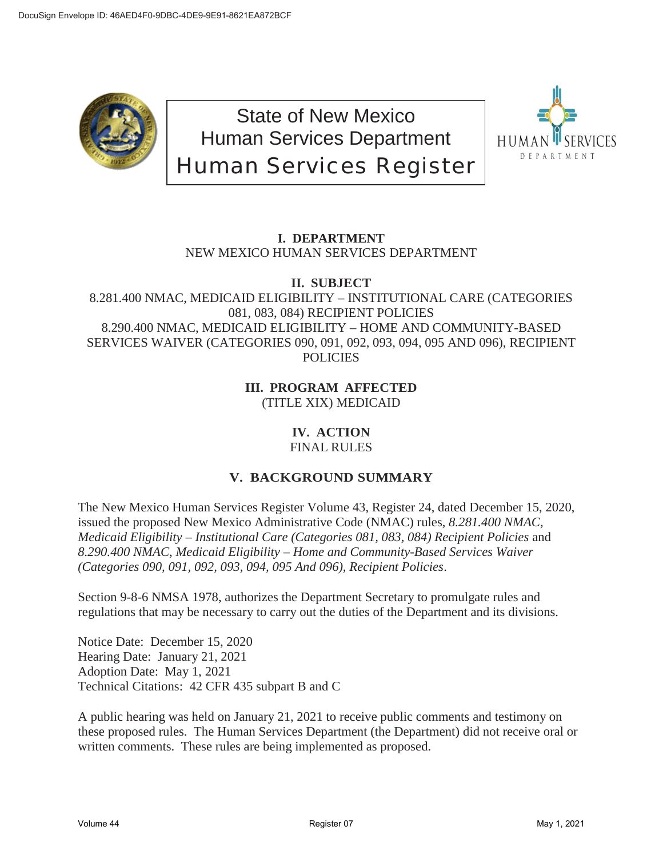

State of New Mexico Human Services Department Human Services Register



# **I. DEPARTMENT** NEW MEXICO HUMAN SERVICES DEPARTMENT

**II. SUBJECT**

8.281.400 NMAC, MEDICAID ELIGIBILITY – INSTITUTIONAL CARE (CATEGORIES 081, 083, 084) RECIPIENT POLICIES 8.290.400 NMAC, MEDICAID ELIGIBILITY – HOME AND COMMUNITY-BASED SERVICES WAIVER (CATEGORIES 090, 091, 092, 093, 094, 095 AND 096), RECIPIENT **POLICIES** 

> **III. PROGRAM AFFECTED** (TITLE XIX) MEDICAID

#### **IV. ACTION** FINAL RULES

## **V. BACKGROUND SUMMARY**

The New Mexico Human Services Register Volume 43, Register 24, dated December 15, 2020, issued the proposed New Mexico Administrative Code (NMAC) rules, *8.281.400 NMAC, Medicaid Eligibility – Institutional Care (Categories 081, 083, 084) Recipient Policies* and *8.290.400 NMAC, Medicaid Eligibility – Home and Community-Based Services Waiver (Categories 090, 091, 092, 093, 094, 095 And 096), Recipient Policies*.

Section 9-8-6 NMSA 1978, authorizes the Department Secretary to promulgate rules and regulations that may be necessary to carry out the duties of the Department and its divisions.

Notice Date: December 15, 2020 Hearing Date: January 21, 2021 Adoption Date: May 1, 2021 Technical Citations: 42 CFR 435 subpart B and C

A public hearing was held on January 21, 2021 to receive public comments and testimony on these proposed rules. The Human Services Department (the Department) did not receive oral or written comments. These rules are being implemented as proposed.